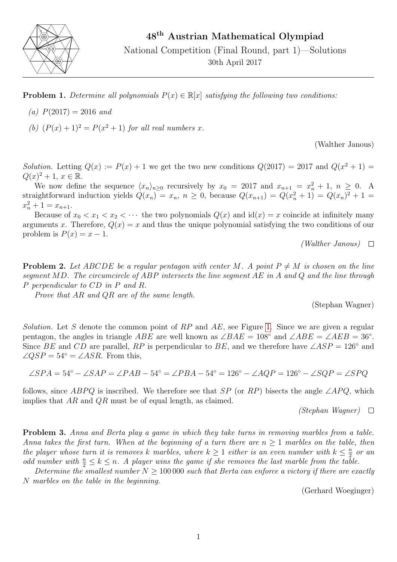

**Problem 1.** Determine all polynomials  $P(x) \in \mathbb{R}[x]$  satisfying the following two conditions:

- (a)  $P(2017) = 2016$  and
- (b)  $(P(x) + 1)^2 = P(x^2 + 1)$  for all real numbers x.

(Walther Janous)

Solution. Letting  $Q(x) := P(x) + 1$  we get the two new conditions  $Q(2017) = 2017$  and  $Q(x^2 + 1) =$  $Q(x)^{2} + 1, x \in \mathbb{R}$ .

We now define the sequence  $\langle x_n \rangle_{n \geq 0}$  recursively by  $x_0 = 2017$  and  $x_{n+1} = x_n^2 + 1$ ,  $n \geq 0$ . A straightforward induction yields  $Q(x_n) = x_n$ ,  $n \ge 0$ , because  $Q(x_{n+1}) = Q(x_n^2 + 1) = Q(x_n)^2 + 1$  $x_n^2 + 1 = x_{n+1}.$ 

Because of  $x_0 < x_1 < x_2 < \cdots$  the two polynomials  $Q(x)$  and  $\mathrm{id}(x) = x$  coincide at infinitely many arguments x. Therefore,  $Q(x) = x$  and thus the unique polynomial satisfying the two conditions of our problem is  $P(x) = x - 1$ .

(Walther Janous)  $\Box$ 

**Problem 2.** Let ABCDE be a regular pentagon with center M. A point  $P \neq M$  is chosen on the line segment MD. The circumcircle of ABP intersects the line segment AE in A and Q and the line through P perpendicular to CD in P and R.

Prove that AR and QR are of the same length.

(Stephan Wagner)

Solution. Let S denote the common point of  $RP$  and  $AE$ , see Figure [1.](#page-1-0) Since we are given a regular pentagon, the angles in triangle  $ABE$  are well known as  $\angle BAE = 108°$  and  $\angle ABE = \angle AEB = 36°$ . Since BE and CD are parallel, RP is perpendicular to BE, and we therefore have  $\angle ASP = 126°$  and  $\angle QSP = 54^\circ = \angle ASR$ . From this,

$$
\angle SPA = 54^{\circ} - \angle SAP = \angle PAB - 54^{\circ} = \angle PBA - 54^{\circ} = 126^{\circ} - \angle AQP = 126^{\circ} - \angle SQP = \angle SPQ
$$

follows, since ABPQ is inscribed. We therefore see that  $SP$  (or RP) bisects the angle  $\angle APQ$ , which implies that  $AR$  and  $QR$  must be of equal length, as claimed.

 $(Stephan\ Wagner)$   $\Box$ 

**Problem 3.** Anna and Berta play a game in which they take turns in removing marbles from a table. Anna takes the first turn. When at the beginning of a turn there are  $n > 1$  marbles on the table, then the player whose turn it is removes k marbles, where  $k \geq 1$  either is an even number with  $k \leq \frac{n}{2}$  $\frac{n}{2}$  or an odd number with  $\frac{n}{2} \leq k \leq n$ . A player wins the game if she removes the last marble from the table.

Determine the smallest number  $N > 100000$  such that Berta can enforce a victory if there are exactly N marbles on the table in the beginning.

(Gerhard Woeginger)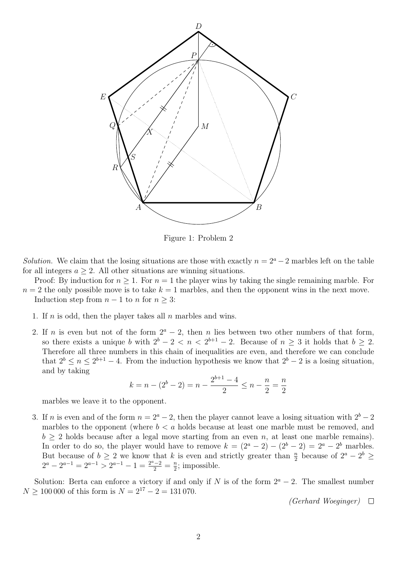

<span id="page-1-0"></span>Figure 1: Problem 2

Solution. We claim that the losing situations are those with exactly  $n = 2<sup>a</sup> - 2$  marbles left on the table for all integers  $a \geq 2$ . All other situations are winning situations.

- Proof: By induction for  $n \geq 1$ . For  $n = 1$  the player wins by taking the single remaining marble. For  $n = 2$  the only possible move is to take  $k = 1$  marbles, and then the opponent wins in the next move.
	- Induction step from  $n-1$  to n for  $n \geq 3$ :
		- 1. If n is odd, then the player takes all n marbles and wins.
		- 2. If *n* is even but not of the form  $2^a 2$ , then *n* lies between two other numbers of that form, so there exists a unique b with  $2^b - 2 < n < 2^{b+1} - 2$ . Because of  $n \geq 3$  it holds that  $b \geq 2$ . Therefore all three numbers in this chain of inequalities are even, and therefore we can conclude that  $2^b \le n \le 2^{b+1} - 4$ . From the induction hypothesis we know that  $2^b - 2$  is a losing situation, and by taking

$$
k = n - (2b - 2) = n - \frac{2b+1 - 4}{2} \le n - \frac{n}{2} = \frac{n}{2}
$$

marbles we leave it to the opponent.

3. If n is even and of the form  $n = 2<sup>a</sup> - 2$ , then the player cannot leave a losing situation with  $2<sup>b</sup> - 2$ marbles to the opponent (where  $b < a$  holds because at least one marble must be removed, and  $b \geq 2$  holds because after a legal move starting from an even n, at least one marble remains). In order to do so, the player would have to remove  $k = (2^a - 2) - (2^b - 2) = 2^a - 2^b$  marbles. But because of  $b \geq 2$  we know that k is even and strictly greater than  $\frac{n}{2}$  because of  $2^a - 2^b \geq$  $2^a - 2^{a-1} = 2^{a-1} > 2^{a-1} - 1 = \frac{2^a - 2}{2} = \frac{n}{2}$  $\frac{n}{2}$ ; impossible.

Solution: Berta can enforce a victory if and only if N is of the form  $2^a - 2$ . The smallest number  $N \ge 100\,000$  of this form is  $N = 2^{17} - 2 = 131\,070$ .

(Gerhard Woeginger)  $\Box$